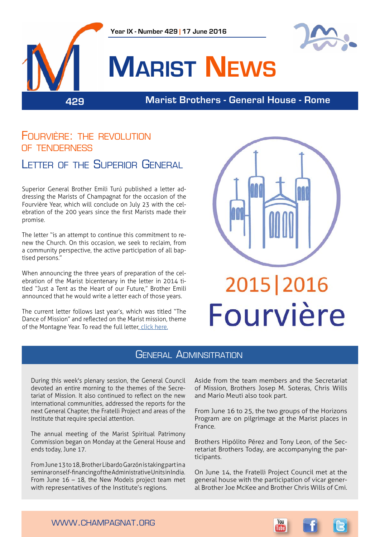

# Fourvière: the revolution of tenderness Letter of the Superior General

Superior General Brother Emili Turú published a letter addressing the Marists of Champagnat for the occasion of the Fourvière Year, which will conclude on July 23 with the celebration of the 200 years since the first Marists made their promise.

The letter "is an attempt to continue this commitment to renew the Church. On this occasion, we seek to reclaim, from a community perspective, the active participation of all baptised persons."

When announcing the three years of preparation of the celebration of the Marist bicentenary in the letter in 2014 titled "Just a Tent as the Heart of our Future," Brother Emili announced that he would write a letter each of those years.

The current letter follows last year's, which was titled "The Dance of Mission" and reflected on the Marist mission, theme of the Montagne Year. To read the full letter, [click here.](http://www.champagnat.org/shared/bau/LetterEmili2016_EN.pdf)



## General Adminsitration

During this week's plenary session, the General Council devoted an entire morning to the themes of the Secretariat of Mission. It also continued to reflect on the new international communities, addressed the reports for the next General Chapter, the Fratelli Project and areas of the Institute that require special attention.

The annual meeting of the Marist Spiritual Patrimony Commission began on Monday at the General House and ends today, June 17.

From June 13 to 18, Brother Libardo Garzón is taking part in a seminar on self-financing of the Administrative Units in India. From June 16 – 18, the New Models project team met with representatives of the Institute's regions.

Aside from the team members and the Secretariat of Mission, Brothers Josep M. Soteras, Chris Wills and Mario Meuti also took part.

From June 16 to 25, the two groups of the Horizons Program are on pilgrimage at the Marist places in France.

Brothers Hipólito Pérez and Tony Leon, of the Secretariat Brothers Today, are accompanying the participants.

On June 14, the Fratelli Project Council met at the general house with the participation of vicar general Brother Joe McKee and Brother Chris Wills of Cmi.



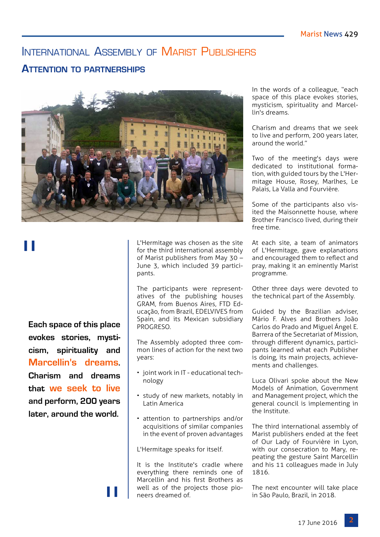# INTERNATIONAL ASSEMBLY OF MARIST PUBLISHERS

## **Attention to partnerships**



"

**Each space of this place evokes stories, mysticism, spirituality and Marcellin's dreams. Charism and dreams that we seek to live and perform, 200 years later, around the world.**

"

L'Hermitage was chosen as the site for the third international assembly of Marist publishers from May 30 – June 3, which included 39 participants.

The participants were representatives of the publishing houses GRAM, from Buenos Aires, FTD Educação, from Brazil, EDELVIVES from Spain, and its Mexican subsidiary PROGRESO.

The Assembly adopted three common lines of action for the next two years:

- joint work in IT educational technology
- study of new markets, notably in Latin America
- attention to partnerships and/or acquisitions of similar companies in the event of proven advantages

L'Hermitage speaks for itself.

It is the Institute's cradle where everything there reminds one of Marcellin and his first Brothers as well as of the projects those pioneers dreamed of.

In the words of a colleague, "each space of this place evokes stories, mysticism, spirituality and Marcellin's dreams.

Charism and dreams that we seek to live and perform, 200 years later, around the world."

Two of the meeting's days were dedicated to institutional formation, with guided tours by the L'Hermitage House, Rosey, Marlhes, Le Palais, La Valla and Fourvière.

Some of the participants also visited the Maisonnette house, where Brother Francisco lived, during their free time.

At each site, a team of animators of L'Hermitage, gave explanations and encouraged them to reflect and pray, making it an eminently Marist programme.

Other three days were devoted to the technical part of the Assembly.

Guided by the Brazilian adviser, Mário F. Alves and Brothers João Carlos do Prado and Miguel Ángel E. Barrera of the Secretariat of Mission, through different dynamics, participants learned what each Publisher is doing, its main projects, achievements and challenges.

Luca Olivari spoke about the New Models of Animation, Government and Management project, which the general council is implementing in the Institute.

The third international assembly of Marist publishers ended at the feet of Our Lady of Fourvière in Lyon, with our consecration to Mary, repeating the gesture Saint Marcellin and his 11 colleagues made in July 1816.

The next encounter will take place in São Paulo, Brazil, in 2018.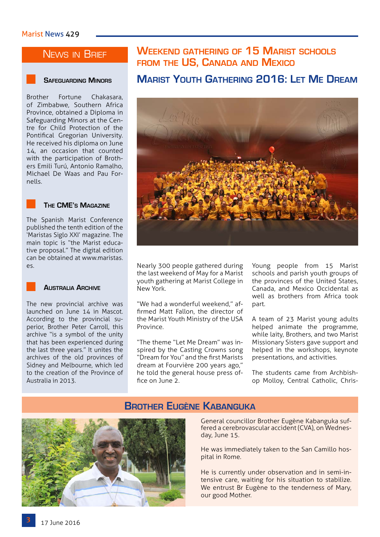## News in Brief

#### **Safeguarding Minors**

Brother Fortune Chakasara, of Zimbabwe, Southern Africa Province, obtained a Diploma in Safeguarding Minors at the Centre for Child Protection of the Pontifical Gregorian University. He received his diploma on June 14, an occasion that counted with the participation of Brothers Emili Turú, Antonio Ramalho, Michael De Waas and Pau Fornells.



#### **The CME's Magazine**

The Spanish Marist Conference published the tenth edition of the 'Maristas Siglo XXI' magazine. The main topic is "the Marist educative proposal." The digital edition can be obtained at www.maristas. es.

#### **Australia Archive**

The new provincial archive was launched on June 14 in Mascot. According to the provincial superior, Brother Peter Carroll, this archive "is a symbol of the unity that has been experienced during the last three years." It unites the archives of the old provinces of Sidney and Melbourne, which led to the creation of the Province of Australia in 2013.

## **Weekend gathering of 15 Marist schools from the US, Canada and Mexico**

#### **Marist Youth Gathering 2016: Let Me Dream**



Nearly 300 people gathered during the last weekend of May for a Marist youth gathering at Marist College in New York.

"We had a wonderful weekend," affirmed Matt Fallon, the director of the Marist Youth Ministry of the USA Province.

"The theme "Let Me Dream" was inspired by the Casting Crowns song "Dream for You" and the first Marists dream at Fourvière 200 years ago," he told the general house press office on June 2.

Young people from 15 Marist schools and parish youth groups of the provinces of the United States, Canada, and Mexico Occidental as well as brothers from Africa took part.

A team of 23 Marist young adults helped animate the programme, while laity, Brothers, and two Marist Missionary Sisters gave support and helped in the workshops, keynote presentations, and activities.

The students came from Archbishop Molloy, Central Catholic, Chris-



#### **Brother Eugène Kabanguka**

General councillor Brother Eugène Kabanguka suffered a cerebrovascular accident (CVA), on Wednesday, June 15.

He was immediately taken to the San Camillo hospital in Rome.

He is currently under observation and in semi-intensive care, waiting for his situation to stabilize. We entrust Br Eugène to the tenderness of Mary, our good Mother.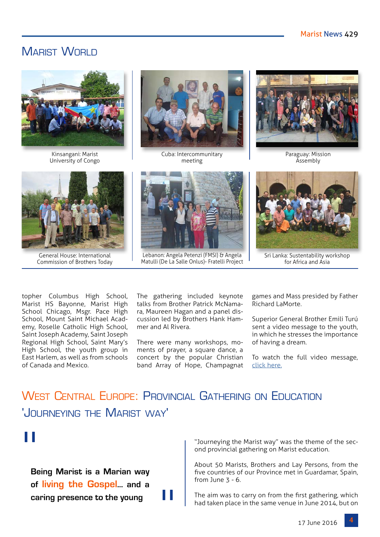# MARIST WORLD



Kinsangani: Marist University of Congo



Cuba: Intercommunitary meeting



Paraguay: Mission Assembly



General House: International Commission of Brothers Today



Lebanon: Angela Petenzi (FMSI) & Angela Matulli (De La Salle Onlus)- Fratelli Project



Sri Lanka: Sustentability workshop for Africa and Asia

topher Columbus High School, Marist HS Bayonne, Marist High School Chicago, Msgr. Pace High School, Mount Saint Michael Academy, Roselle Catholic High School, Saint Joseph Academy, Saint Joseph Regional High School, Saint Mary's High School, the youth group in East Harlem, as well as from schools of Canada and Mexico.

The gathering included keynote talks from Brother Patrick McNamara, Maureen Hagan and a panel discussion led by Brothers Hank Hammer and Al Rivera.

There were many workshops, moments of prayer, a square dance, a concert by the popular Christian band Array of Hope, Champagnat games and Mass presided by Father Richard LaMorte.

Superior General Brother Emili Turú sent a video message to the youth, in which he stresses the importance of having a dream.

To watch the full video message, [click here.](https://www.youtube.com/watch?v=ILIJ0Wov8Z0)

# West Central Europe: Provincial Gathering on Education 'Journeying the Marist way'

"

"

**Being Marist is a Marian way of living the Gospel... and a caring presence to the young**

"Journeying the Marist way" was the theme of the second provincial gathering on Marist education.

About 50 Marists, Brothers and Lay Persons, from the five countries of our Province met in Guardamar, Spain, from June 3 - 6.

The aim was to carry on from the first gathering, which had taken place in the same venue in June 2014, but on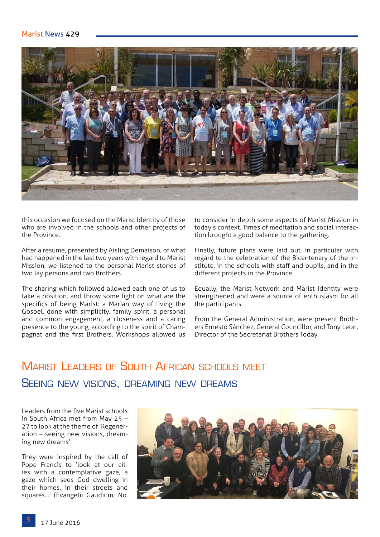#### Marist News 429



this occasion we focused on the Marist Identity of those who are involved in the schools and other projects of the Province.

After a resume, presented by Aisling Demaison, of what had happened in the last two years with regard to Marist Mission, we listened to the personal Marist stories of two lay persons and two Brothers.

The sharing which followed allowed each one of us to take a position, and throw some light on what are the specifics of being Marist: a Marian way of living the Gospel, done with simplicity, family spirit, a personal and common engagement, a closeness and a caring presence to the young, according to the spirit of Champagnat and the first Brothers. Workshops allowed us

to consider in depth some aspects of Marist Mission in today's context. Times of meditation and social interaction brought a good balance to the gathering.

Finally, future plans were laid out, in particular with regard to the celebration of the Bicentenary of the Institute, in the schools with staff and pupils, and in the different projects in the Province.

Equally, the Marist Network and Marist Identity were strengthened and were a source of enthusiasm for all the participants.

From the General Administration, were present Brothers Ernesto Sánchez, General Councillor, and Tony Leon, Director of the Secretariat Brothers Today.

# Marist Leaders of South African schools meet Seeing new visions, dreaming new dreams

Leaders from the five Marist schools in South Africa met from May 25 – 27 to look at the theme of 'Regeneration – seeing new visions, dreaming new dreams'.

They were inspired by the call of Pope Francis to 'look at our cities with a contemplative gaze, a gaze which sees God dwelling in their homes, in their streets and squares…' (Evangelii Gaudium; No.